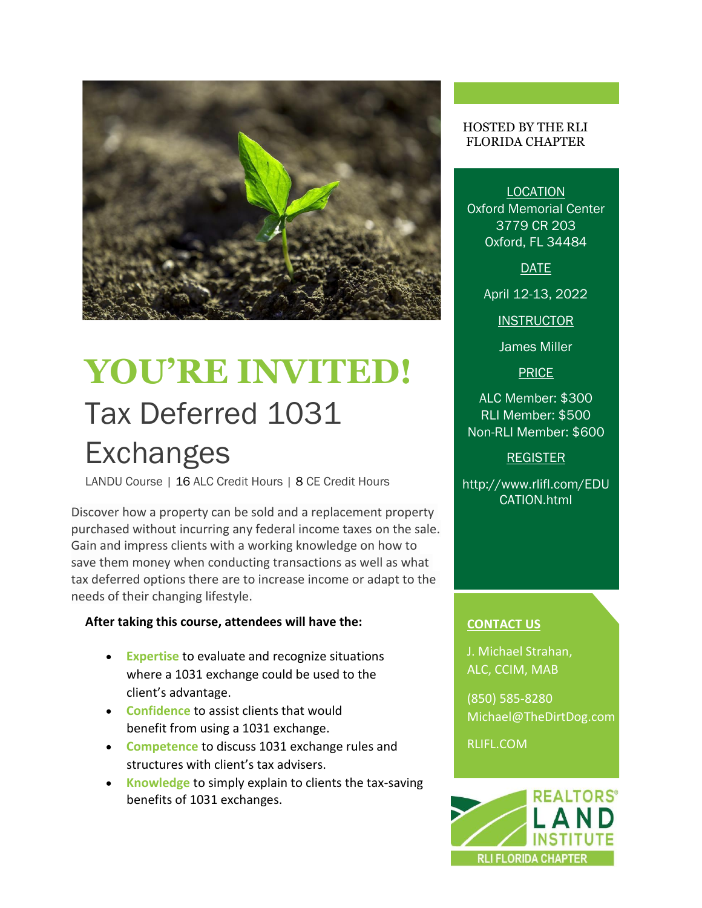

# **YOU'RE INVITED!**  Tax Deferred 1031 **Exchanges**

LANDU Course | 16 ALC Credit Hours | 8 CE Credit Hours

Discover how a property can be sold and a replacement property purchased without incurring any federal income taxes on the sale. Gain and impress clients with a working knowledge on how to save them money when conducting transactions as well as what tax deferred options there are to increase income or adapt to the needs of their changing lifestyle.

#### **After taking this course, attendees will have the:**

- **Expertise** to evaluate and recognize situations where a 1031 exchange could be used to the client's advantage.
- **Confidence** to assist clients that would benefit from using a 1031 exchange.
- **Competence** to discuss 1031 exchange rules and structures with client's tax advisers.
- **Knowledge** to simply explain to clients the tax-saving benefits of 1031 exchanges.

#### HOSTED BY THE RLI FLORIDA CHAPTER

LOCATION Oxford Memorial Center 3779 CR 203 Oxford, FL 34484

DATE

April 12-13, 2022

**INSTRUCTOR** 

James Miller

**PRICE** 

ALC Member: \$300 RLI Member: \$500 Non-RLI Member: \$600

### REGISTER

http://www.rlifl.com/EDU CATION.html

## **CONTACT US**

J. Michael Strahan, ALC, CCIM, MAB

(850) 585-8280 [Michael@TheDirtDog.com](mailto:Michael@TheDirtDog.com)

RLIFL.COM